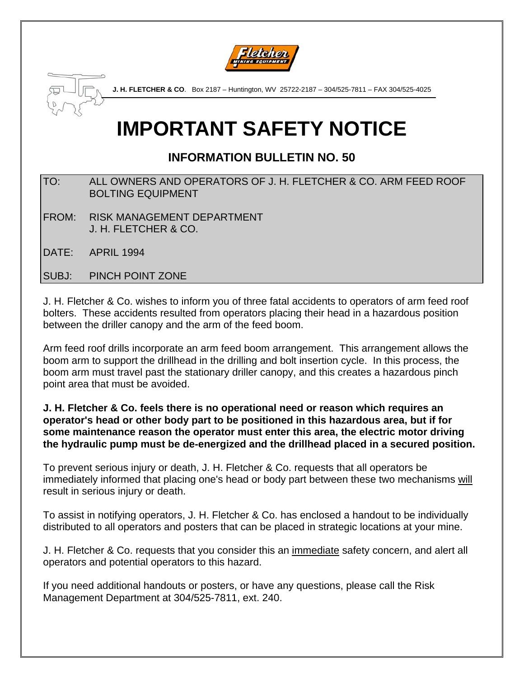



**J. H. FLETCHER & CO**. Box 2187 – Huntington, WV 25722-2187 – 304/525-7811 – FAX 304/525-4025

## **IMPORTANT SAFETY NOTICE**

### **INFORMATION BULLETIN NO. 50**

- TO: ALL OWNERS AND OPERATORS OF J. H. FLETCHER & CO. ARM FEED ROOF BOLTING EQUIPMENT
- FROM: RISK MANAGEMENT DEPARTMENT J. H. FLETCHER & CO.
- DATE: APRIL 1994

SUBJ: PINCH POINT ZONE

J. H. Fletcher & Co. wishes to inform you of three fatal accidents to operators of arm feed roof bolters. These accidents resulted from operators placing their head in a hazardous position between the driller canopy and the arm of the feed boom.

Arm feed roof drills incorporate an arm feed boom arrangement. This arrangement allows the boom arm to support the drillhead in the drilling and bolt insertion cycle. In this process, the boom arm must travel past the stationary driller canopy, and this creates a hazardous pinch point area that must be avoided.

**J. H. Fletcher & Co. feels there is no operational need or reason which requires an operator's head or other body part to be positioned in this hazardous area, but if for some maintenance reason the operator must enter this area, the electric motor driving the hydraulic pump must be de-energized and the drillhead placed in a secured position.**

To prevent serious injury or death, J. H. Fletcher & Co. requests that all operators be immediately informed that placing one's head or body part between these two mechanisms will result in serious injury or death.

To assist in notifying operators, J. H. Fletcher & Co. has enclosed a handout to be individually distributed to all operators and posters that can be placed in strategic locations at your mine.

J. H. Fletcher & Co. requests that you consider this an immediate safety concern, and alert all operators and potential operators to this hazard.

If you need additional handouts or posters, or have any questions, please call the Risk Management Department at 304/525-7811, ext. 240.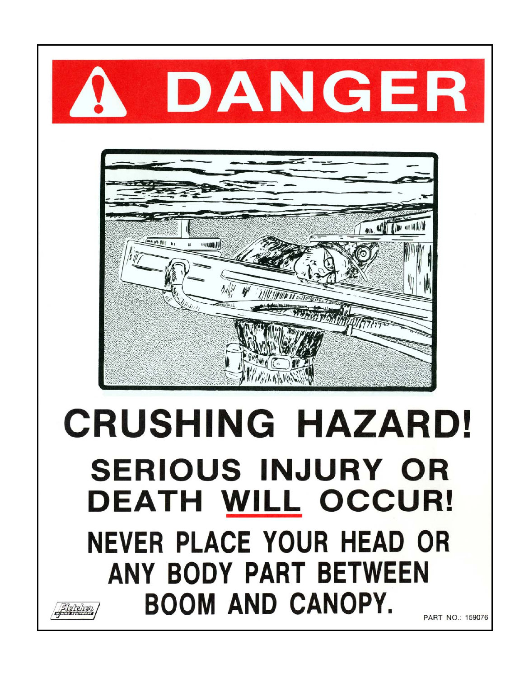

# **CRUSHING HAZARD! SERIOUS INJURY OR** DEATH WILL OCCUR! **NEVER PLACE YOUR HEAD OR** ANY BODY PART BETWEEN **BOOM AND CANOPY.** Flerenen

PART NO.: 159076